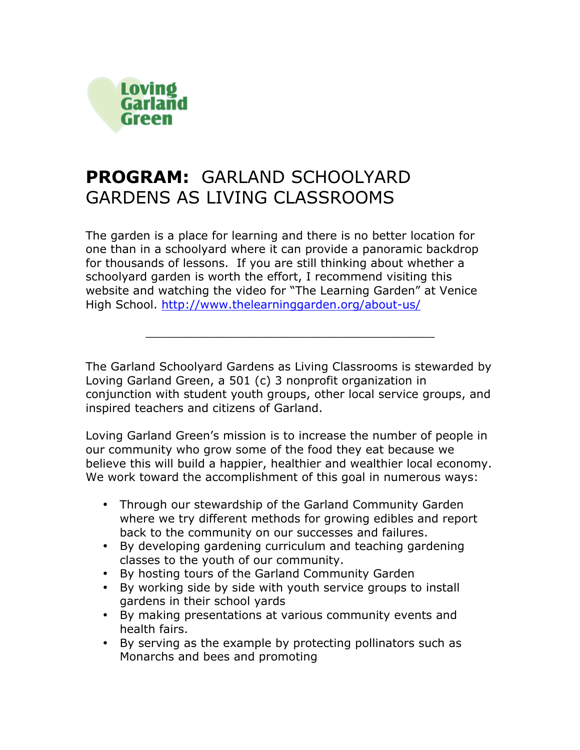

# **PROGRAM:** GARLAND SCHOOLYARD GARDENS AS LIVING CLASSROOMS

The garden is a place for learning and there is no better location for one than in a schoolyard where it can provide a panoramic backdrop for thousands of lessons. If you are still thinking about whether a schoolyard garden is worth the effort, I recommend visiting this website and watching the video for "The Learning Garden" at Venice High School. http://www.thelearninggarden.org/about-us/

The Garland Schoolyard Gardens as Living Classrooms is stewarded by Loving Garland Green, a 501 (c) 3 nonprofit organization in conjunction with student youth groups, other local service groups, and inspired teachers and citizens of Garland.

\_\_\_\_\_\_\_\_\_\_\_\_\_\_\_\_\_\_\_\_\_\_\_\_\_\_\_\_\_\_\_\_\_\_\_\_\_\_\_\_

Loving Garland Green's mission is to increase the number of people in our community who grow some of the food they eat because we believe this will build a happier, healthier and wealthier local economy. We work toward the accomplishment of this goal in numerous ways:

- Through our stewardship of the Garland Community Garden where we try different methods for growing edibles and report back to the community on our successes and failures.
- By developing gardening curriculum and teaching gardening classes to the youth of our community.
- By hosting tours of the Garland Community Garden
- By working side by side with youth service groups to install gardens in their school yards
- By making presentations at various community events and health fairs.
- By serving as the example by protecting pollinators such as Monarchs and bees and promoting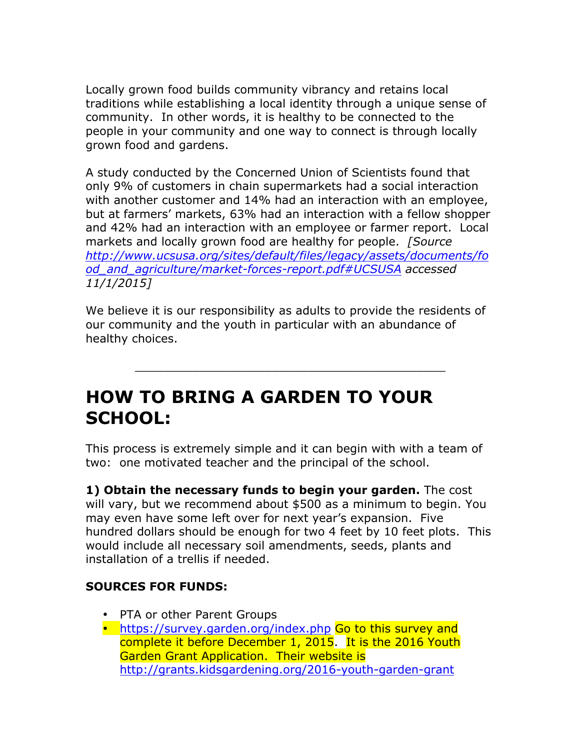Locally grown food builds community vibrancy and retains local traditions while establishing a local identity through a unique sense of community. In other words, it is healthy to be connected to the people in your community and one way to connect is through locally grown food and gardens.

A study conducted by the Concerned Union of Scientists found that only 9% of customers in chain supermarkets had a social interaction with another customer and 14% had an interaction with an employee, but at farmers' markets, 63% had an interaction with a fellow shopper and 42% had an interaction with an employee or farmer report. Local markets and locally grown food are healthy for people. *[Source http://www.ucsusa.org/sites/default/files/legacy/assets/documents/fo od\_and\_agriculture/market-forces-report.pdf#UCSUSA accessed 11/1/2015]*

We believe it is our responsibility as adults to provide the residents of our community and the youth in particular with an abundance of healthy choices.

\_\_\_\_\_\_\_\_\_\_\_\_\_\_\_\_\_\_\_\_\_\_\_\_\_\_\_\_\_\_\_\_\_\_\_\_\_\_\_\_\_\_\_

# **HOW TO BRING A GARDEN TO YOUR SCHOOL:**

This process is extremely simple and it can begin with with a team of two: one motivated teacher and the principal of the school.

**1) Obtain the necessary funds to begin your garden.** The cost will vary, but we recommend about \$500 as a minimum to begin. You may even have some left over for next year's expansion. Five hundred dollars should be enough for two 4 feet by 10 feet plots. This would include all necessary soil amendments, seeds, plants and installation of a trellis if needed.

### **SOURCES FOR FUNDS:**

- PTA or other Parent Groups
- https://survey.garden.org/index.php Go to this survey and complete it before December 1, 2015. It is the 2016 Youth Garden Grant Application. Their website is http://grants.kidsgardening.org/2016-youth-garden-grant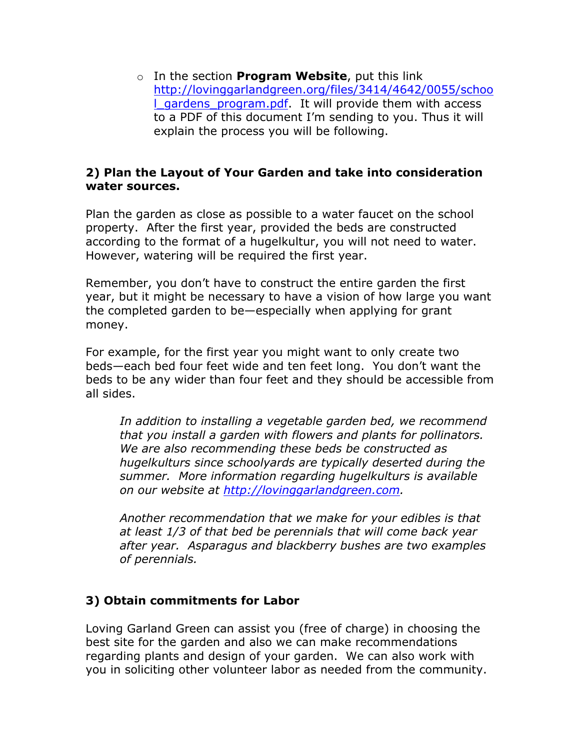o In the section **Program Website**, put this link http://lovinggarlandgreen.org/files/3414/4642/0055/schoo I gardens program.pdf. It will provide them with access to a PDF of this document I'm sending to you. Thus it will explain the process you will be following.

#### **2) Plan the Layout of Your Garden and take into consideration water sources.**

Plan the garden as close as possible to a water faucet on the school property. After the first year, provided the beds are constructed according to the format of a hugelkultur, you will not need to water. However, watering will be required the first year.

Remember, you don't have to construct the entire garden the first year, but it might be necessary to have a vision of how large you want the completed garden to be—especially when applying for grant money.

For example, for the first year you might want to only create two beds—each bed four feet wide and ten feet long. You don't want the beds to be any wider than four feet and they should be accessible from all sides.

*In addition to installing a vegetable garden bed, we recommend that you install a garden with flowers and plants for pollinators. We are also recommending these beds be constructed as hugelkulturs since schoolyards are typically deserted during the summer. More information regarding hugelkulturs is available on our website at http://lovinggarlandgreen.com.* 

*Another recommendation that we make for your edibles is that at least 1/3 of that bed be perennials that will come back year after year. Asparagus and blackberry bushes are two examples of perennials.*

### **3) Obtain commitments for Labor**

Loving Garland Green can assist you (free of charge) in choosing the best site for the garden and also we can make recommendations regarding plants and design of your garden. We can also work with you in soliciting other volunteer labor as needed from the community.